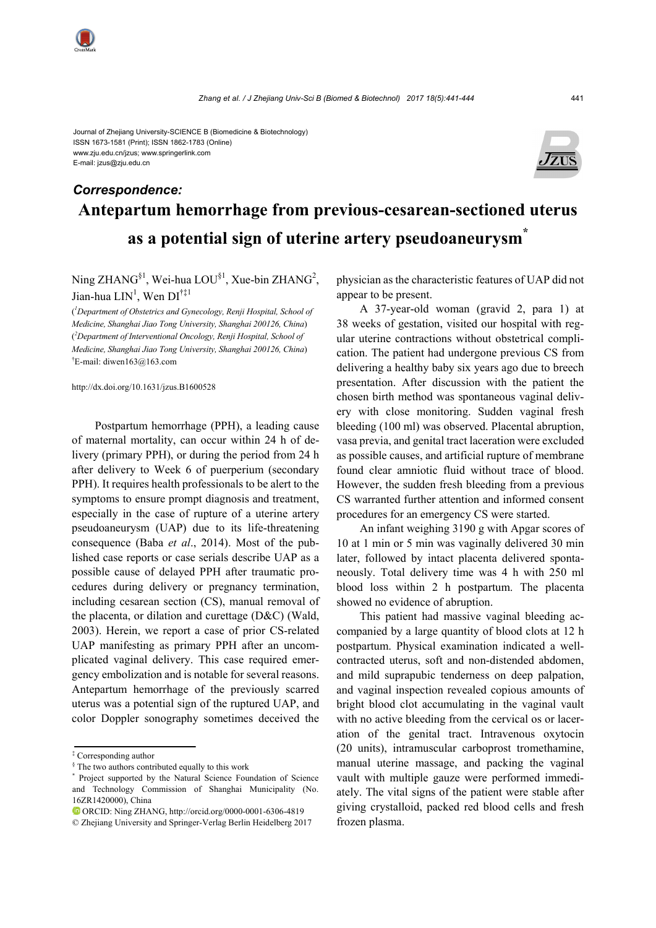Journal of Zhejiang University-SCIENCE B (Biomedicine & Biotechnology) ISSN 1673-1581 (Print); ISSN 1862-1783 (Online) www.zju.edu.cn/jzus; www.springerlink.com E-mail: jzus@zju.edu.cn



# **Antepartum hemorrhage from previous-cesarean-sectioned uterus as a potential sign of uterine artery pseudoaneurysm\***  *Correspondence:*

Ning ZHANG<sup>§1</sup>, Wei-hua LOU<sup>§1</sup>, Xue-bin ZHANG<sup>2</sup>, Jian-hua  $LIN^1$ , Wen  $DI^{\dagger\ddagger 1}$ 

( *1 Department of Obstetrics and Gynecology, Renji Hospital, School of Medicine, Shanghai Jiao Tong University, Shanghai 200126, China*) ( *2 Department of Interventional Oncology, Renji Hospital, School of Medicine, Shanghai Jiao Tong University, Shanghai 200126, China*) † E-mail: diwen163@163.com

http://dx.doi.org/10.1631/jzus.B1600528

Postpartum hemorrhage (PPH), a leading cause of maternal mortality, can occur within 24 h of delivery (primary PPH), or during the period from 24 h after delivery to Week 6 of puerperium (secondary PPH). It requires health professionals to be alert to the symptoms to ensure prompt diagnosis and treatment, especially in the case of rupture of a uterine artery pseudoaneurysm (UAP) due to its life-threatening consequence (Baba *et al*., 2014). Most of the published case reports or case serials describe UAP as a possible cause of delayed PPH after traumatic procedures during delivery or pregnancy termination, including cesarean section (CS), manual removal of the placenta, or dilation and curettage (D&C) (Wald, 2003). Herein, we report a case of prior CS-related UAP manifesting as primary PPH after an uncomplicated vaginal delivery. This case required emergency embolization and is notable for several reasons. Antepartum hemorrhage of the previously scarred uterus was a potential sign of the ruptured UAP, and color Doppler sonography sometimes deceived the

physician as the characteristic features of UAP did not appear to be present.

A 37-year-old woman (gravid 2, para 1) at 38 weeks of gestation, visited our hospital with regular uterine contractions without obstetrical complication. The patient had undergone previous CS from delivering a healthy baby six years ago due to breech presentation. After discussion with the patient the chosen birth method was spontaneous vaginal delivery with close monitoring. Sudden vaginal fresh bleeding (100 ml) was observed. Placental abruption, vasa previa, and genital tract laceration were excluded as possible causes, and artificial rupture of membrane found clear amniotic fluid without trace of blood. However, the sudden fresh bleeding from a previous CS warranted further attention and informed consent procedures for an emergency CS were started.

An infant weighing 3190 g with Apgar scores of 10 at 1 min or 5 min was vaginally delivered 30 min later, followed by intact placenta delivered spontaneously. Total delivery time was 4 h with 250 ml blood loss within 2 h postpartum. The placenta showed no evidence of abruption.

This patient had massive vaginal bleeding accompanied by a large quantity of blood clots at 12 h postpartum. Physical examination indicated a wellcontracted uterus, soft and non-distended abdomen, and mild suprapubic tenderness on deep palpation, and vaginal inspection revealed copious amounts of bright blood clot accumulating in the vaginal vault with no active bleeding from the cervical os or laceration of the genital tract. Intravenous oxytocin (20 units), intramuscular carboprost tromethamine, manual uterine massage, and packing the vaginal vault with multiple gauze were performed immediately. The vital signs of the patient were stable after giving crystalloid, packed red blood cells and fresh frozen plasma.

<sup>‡</sup> Corresponding author

<sup>§</sup> The two authors contributed equally to this work

<sup>\*</sup> Project supported by the Natural Science Foundation of Science and Technology Commission of Shanghai Municipality (No. 16ZR1420000), China

ORCID: Ning ZHANG, http://orcid.org/0000-0001-6306-4819

<sup>©</sup> Zhejiang University and Springer-Verlag Berlin Heidelberg 2017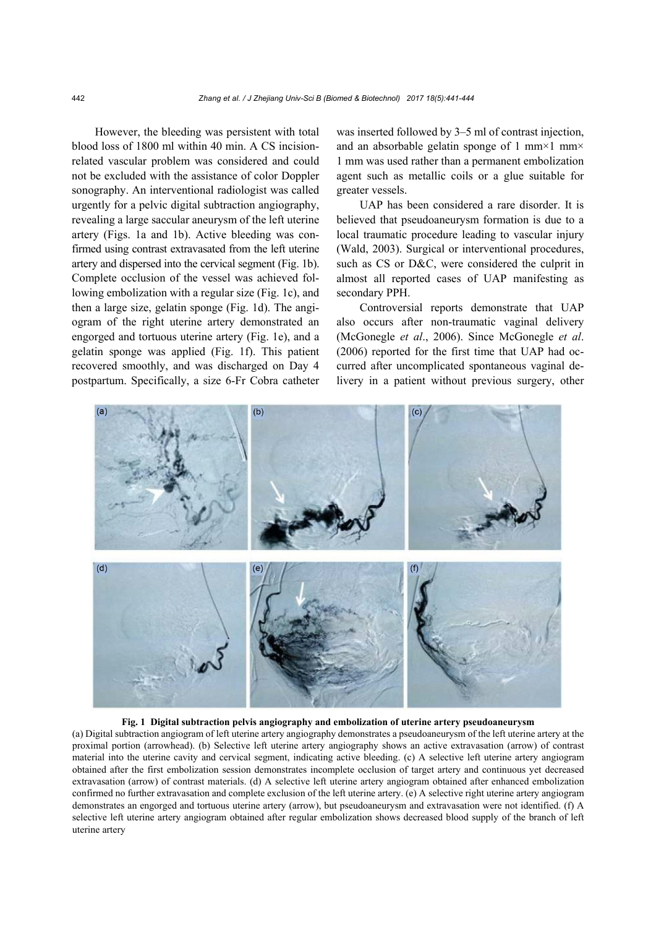However, the bleeding was persistent with total blood loss of 1800 ml within 40 min. A CS incisionrelated vascular problem was considered and could not be excluded with the assistance of color Doppler sonography. An interventional radiologist was called urgently for a pelvic digital subtraction angiography, revealing a large saccular aneurysm of the left uterine artery (Figs. 1a and 1b). Active bleeding was confirmed using contrast extravasated from the left uterine artery and dispersed into the cervical segment (Fig. 1b). Complete occlusion of the vessel was achieved following embolization with a regular size (Fig. 1c), and then a large size, gelatin sponge (Fig. 1d). The angiogram of the right uterine artery demonstrated an engorged and tortuous uterine artery (Fig. 1e), and a gelatin sponge was applied (Fig. 1f). This patient recovered smoothly, and was discharged on Day 4 postpartum. Specifically, a size 6-Fr Cobra catheter was inserted followed by 3–5 ml of contrast injection, and an absorbable gelatin sponge of 1 mm×1 mm× 1 mm was used rather than a permanent embolization agent such as metallic coils or a glue suitable for greater vessels.

UAP has been considered a rare disorder. It is believed that pseudoaneurysm formation is due to a local traumatic procedure leading to vascular injury (Wald, 2003). Surgical or interventional procedures, such as CS or D&C, were considered the culprit in almost all reported cases of UAP manifesting as secondary PPH.

Controversial reports demonstrate that UAP also occurs after non-traumatic vaginal delivery (McGonegle *et al*., 2006). Since McGonegle *et al*. (2006) reported for the first time that UAP had occurred after uncomplicated spontaneous vaginal delivery in a patient without previous surgery, other



**Fig. 1 Digital subtraction pelvis angiography and embolization of uterine artery pseudoaneurysm** 

(a) Digital subtraction angiogram of left uterine artery angiography demonstrates a pseudoaneurysm of the left uterine artery at the proximal portion (arrowhead). (b) Selective left uterine artery angiography shows an active extravasation (arrow) of contrast material into the uterine cavity and cervical segment, indicating active bleeding. (c) A selective left uterine artery angiogram obtained after the first embolization session demonstrates incomplete occlusion of target artery and continuous yet decreased extravasation (arrow) of contrast materials. (d) A selective left uterine artery angiogram obtained after enhanced embolization confirmed no further extravasation and complete exclusion of the left uterine artery. (e) A selective right uterine artery angiogram demonstrates an engorged and tortuous uterine artery (arrow), but pseudoaneurysm and extravasation were not identified. (f) A selective left uterine artery angiogram obtained after regular embolization shows decreased blood supply of the branch of left uterine artery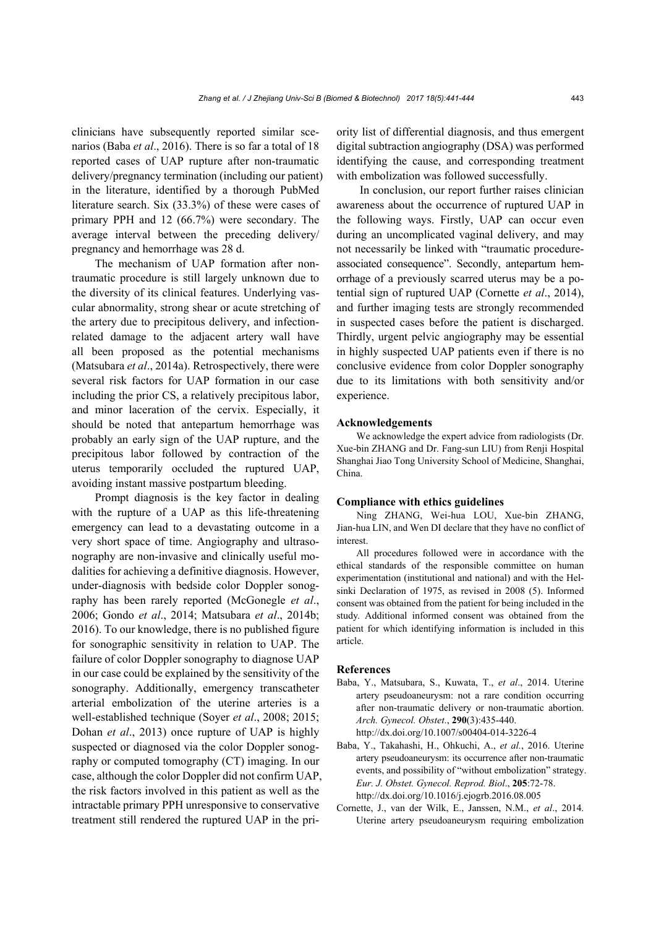clinicians have subsequently reported similar scenarios (Baba *et al*., 2016). There is so far a total of 18 reported cases of UAP rupture after non-traumatic delivery/pregnancy termination (including our patient) in the literature, identified by a thorough PubMed literature search. Six (33.3%) of these were cases of primary PPH and 12 (66.7%) were secondary. The average interval between the preceding delivery/ pregnancy and hemorrhage was 28 d.

The mechanism of UAP formation after nontraumatic procedure is still largely unknown due to the diversity of its clinical features. Underlying vascular abnormality, strong shear or acute stretching of the artery due to precipitous delivery, and infectionrelated damage to the adjacent artery wall have all been proposed as the potential mechanisms (Matsubara *et al*., 2014a). Retrospectively, there were several risk factors for UAP formation in our case including the prior CS, a relatively precipitous labor, and minor laceration of the cervix. Especially, it should be noted that antepartum hemorrhage was probably an early sign of the UAP rupture, and the precipitous labor followed by contraction of the uterus temporarily occluded the ruptured UAP, avoiding instant massive postpartum bleeding.

Prompt diagnosis is the key factor in dealing with the rupture of a UAP as this life-threatening emergency can lead to a devastating outcome in a very short space of time. Angiography and ultrasonography are non-invasive and clinically useful modalities for achieving a definitive diagnosis. However, under-diagnosis with bedside color Doppler sonography has been rarely reported (McGonegle *et al*., 2006; Gondo *et al*., 2014; Matsubara *et al*., 2014b; 2016). To our knowledge, there is no published figure for sonographic sensitivity in relation to UAP. The failure of color Doppler sonography to diagnose UAP in our case could be explained by the sensitivity of the sonography. Additionally, emergency transcatheter arterial embolization of the uterine arteries is a well-established technique (Soyer *et al*., 2008; 2015; Dohan *et al*., 2013) once rupture of UAP is highly suspected or diagnosed via the color Doppler sonography or computed tomography (CT) imaging. In our case, although the color Doppler did not confirm UAP, the risk factors involved in this patient as well as the intractable primary PPH unresponsive to conservative treatment still rendered the ruptured UAP in the priority list of differential diagnosis, and thus emergent digital subtraction angiography (DSA) was performed identifying the cause, and corresponding treatment with embolization was followed successfully.

In conclusion, our report further raises clinician awareness about the occurrence of ruptured UAP in the following ways. Firstly, UAP can occur even during an uncomplicated vaginal delivery, and may not necessarily be linked with "traumatic procedureassociated consequence". Secondly, antepartum hemorrhage of a previously scarred uterus may be a potential sign of ruptured UAP (Cornette *et al*., 2014), and further imaging tests are strongly recommended in suspected cases before the patient is discharged. Thirdly, urgent pelvic angiography may be essential in highly suspected UAP patients even if there is no conclusive evidence from color Doppler sonography due to its limitations with both sensitivity and/or experience.

### **Acknowledgements**

We acknowledge the expert advice from radiologists (Dr. Xue-bin ZHANG and Dr. Fang-sun LIU) from Renji Hospital Shanghai Jiao Tong University School of Medicine, Shanghai, China.

#### **Compliance with ethics guidelines**

Ning ZHANG, Wei-hua LOU, Xue-bin ZHANG, Jian-hua LIN, and Wen DI declare that they have no conflict of interest.

All procedures followed were in accordance with the ethical standards of the responsible committee on human experimentation (institutional and national) and with the Helsinki Declaration of 1975, as revised in 2008 (5). Informed consent was obtained from the patient for being included in the study. Additional informed consent was obtained from the patient for which identifying information is included in this article.

#### **References**

- Baba, Y., Matsubara, S., Kuwata, T., *et al*., 2014. Uterine artery pseudoaneurysm: not a rare condition occurring after non-traumatic delivery or non-traumatic abortion. *Arch. Gynecol. Obstet*., **290**(3):435-440. http://dx.doi.org/10.1007/s00404-014-3226-4
- Baba, Y., Takahashi, H., Ohkuchi, A., *et al.*, 2016. Uterine artery pseudoaneurysm: its occurrence after non-traumatic events, and possibility of "without embolization" strategy. *Eur. J. Obstet. Gynecol. Reprod. Biol*., **205**:72-78.

http://dx.doi.org/10.1016/j.ejogrb.2016.08.005

Cornette, J., van der Wilk, E., Janssen, N.M., *et al*., 2014. Uterine artery pseudoaneurysm requiring embolization